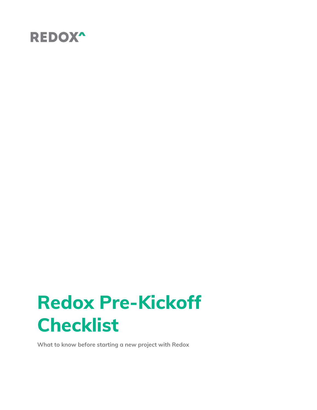

# **Redox Pre-Kickoff Checklist**

**What to know before starting a new project with Redox**